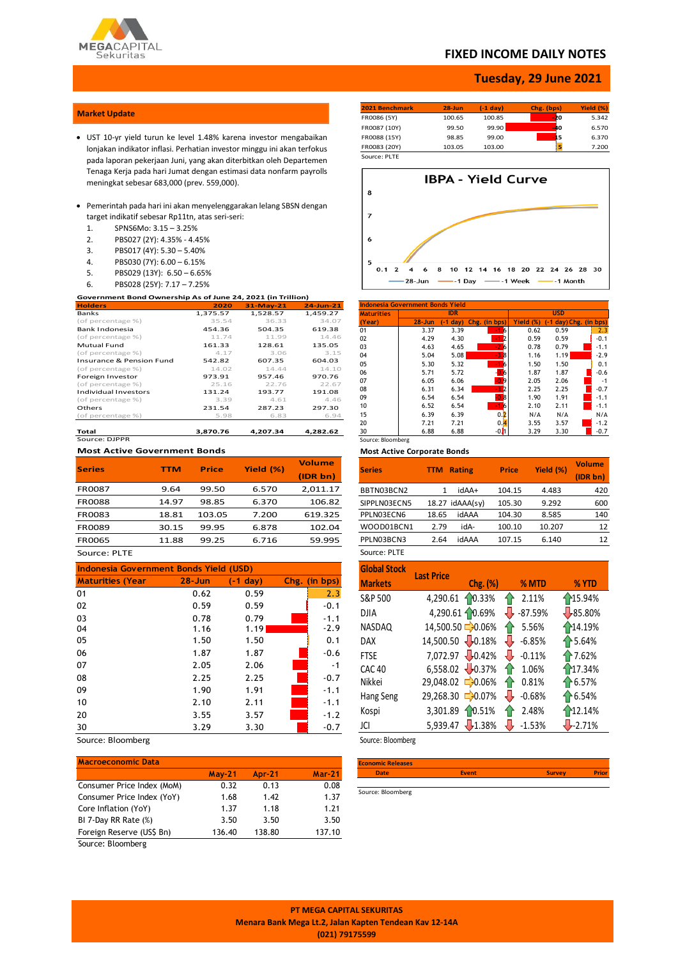

## **FIXED INCOME DAILY NOTES**

## **Tuesday, 29 June 2021**

### **Market Update**

- UST 10-yr yield turun ke level 1.48% karena investor mengabaikan lonjakan indikator inflasi. Perhatian investor minggu ini akan terfokus pada laporan pekerjaan Juni, yang akan diterbitkan oleh Departemen Tenaga Kerja pada hari Jumat dengan estimasi data nonfarm payrolls meningkat sebesar 683,000 (prev. 559,000).
- Pemerintah pada hari ini akan menyelenggarakan lelang SBSN dengan target indikatif sebesar Rp11tn, atas seri-seri:
	- 1. SPNS6Mo: 3.15 3.25%
	- 2. PBS027 (2Y): 4.35% 4.45%
	- 3. PBS017 (4Y): 5.30 5.40%
	- 4. PBS030 (7Y): 6.00 6.15%
	- 5. PBS029 (13Y): 6.50 6.65%
	- 6. PBS028 (25Y): 7.17 7.25%

| Government Bond Ownership As of June 24, 2021 (in Trillion) |          |             |              |  |  |  |  |  |
|-------------------------------------------------------------|----------|-------------|--------------|--|--|--|--|--|
| <b>Holders</b>                                              | 2020     | $31-Mav-21$ | $24$ -Jun-21 |  |  |  |  |  |
| Banks                                                       | 1.375.57 | 1.528.57    | 1.459.27     |  |  |  |  |  |
| (of percentage %)                                           | 35.54    | 36.33       | 34.07        |  |  |  |  |  |
| Bank Indonesia                                              | 454.36   | 504.35      | 619.38       |  |  |  |  |  |
| (of percentage %)                                           | 11.74    | 11.99       | 14.46        |  |  |  |  |  |
| <b>Mutual Fund</b>                                          | 161.33   | 128.61      | 135.05       |  |  |  |  |  |
| (of percentage %)                                           | 4.17     | 3.06        | 3.15         |  |  |  |  |  |
| <b>Insurance &amp; Pension Fund</b>                         | 542.82   | 607.35      | 604.03       |  |  |  |  |  |
| (of percentage %)                                           | 14.02    | 14.44       | 14.10        |  |  |  |  |  |
| Foreign Investor                                            | 973.91   | 957.46      | 970.76       |  |  |  |  |  |
| (of percentage %)                                           | 25.16    | 22.76       | 22.67        |  |  |  |  |  |
| <b>Individual Investors</b>                                 | 131.24   | 193.77      | 191.08       |  |  |  |  |  |
| (of percentage %)                                           | 3.39     | 4.61        | 4.46         |  |  |  |  |  |
| Others                                                      | 231.54   | 287.23      | 297.30       |  |  |  |  |  |
| (of percentage %)                                           | 5.98     | 6.83        | 6.94         |  |  |  |  |  |
|                                                             |          |             |              |  |  |  |  |  |
| Total                                                       | 3.870.76 | 4.207.34    | 4.282.62     |  |  |  |  |  |

Source: DJPPR

#### **Most Active Government Bonds**

| <b>Series</b> | TTM   | <b>Price</b> | Yield (%) | <b>Volume</b><br>(IDR bn) |
|---------------|-------|--------------|-----------|---------------------------|
| <b>FR0087</b> | 9.64  | 99.50        | 6.570     | 2,011.17                  |
| <b>FR0088</b> | 14.97 | 98.85        | 6.370     | 106.82                    |
| FR0083        | 18.81 | 103.05       | 7.200     | 619.325                   |
| <b>FR0089</b> | 30.15 | 99.95        | 6.878     | 102.04                    |
| <b>FR0065</b> | 11.88 | 99.25        | 6.716     | 59.995                    |

Source: PLTE

| Indonesia Government Bonds Yield (USD) |            |            |  |               |  |  |  |
|----------------------------------------|------------|------------|--|---------------|--|--|--|
| <b>Maturities (Year</b>                | $28 - Jun$ | $(-1 day)$ |  | Chg. (in bps) |  |  |  |
| 01                                     | 0.62       | 0.59       |  | 2.3           |  |  |  |
| 02                                     | 0.59       | 0.59       |  | $-0.1$        |  |  |  |
| 03                                     | 0.78       | 0.79       |  | $-1.1$        |  |  |  |
| 04                                     | 1.16       | 1.19       |  | $-2.9$        |  |  |  |
| 05                                     | 1.50       | 1.50       |  | 0.1           |  |  |  |
| 06                                     | 1.87       | 1.87       |  | $-0.6$        |  |  |  |
| 07                                     | 2.05       | 2.06       |  | $-1$          |  |  |  |
| 08                                     | 2.25       | 2.25       |  | $-0.7$        |  |  |  |
| 09                                     | 1.90       | 1.91       |  | $-1.1$        |  |  |  |
| 10                                     | 2.10       | 2.11       |  | $-1.1$        |  |  |  |
| 20                                     | 3.55       | 3.57       |  | $-1.2$        |  |  |  |
| 30                                     | 3.29       | 3.30       |  | $-0.7$        |  |  |  |

Source: Bloomberg

## **Macroeconomic Data May-21 Apr-21 Mar-21** Consumer Price Index (MoM) 0.32 0.13 0.08 Consumer Price Index (YoY) 1.68 1.42 1.37 Core Inflation (YoY) 1.37 1.18 1.21 BI 7-Day RR Rate (%) 3.50 3.50 3.50 Foreign Reserve (US\$ Bn) 136.40 138.80 137.10

Source: Bloomberg

| 2021 Benchmark | $28 - Jun$ | (-1 dav) | Chg. (bps) | Yield (%) |
|----------------|------------|----------|------------|-----------|
| FR0086 (5Y)    | 100.65     | 100.85   | -20        | 5.342     |
| FR0087 (10Y)   | 99.50      | 99.90    | -40        | 6.570     |
| FR0088 (15Y)   | 98.85      | 99.00    | 15         | 6.370     |
| FR0083 (20Y)   | 103.05     | 103.00   |            | 7.200     |
| Source: PLTF   |            |          |            |           |



| Indonesia Government Bonds Yield |            |            |                    |           |                        |        |  |  |
|----------------------------------|------------|------------|--------------------|-----------|------------------------|--------|--|--|
| <b>Maturities</b>                |            | <b>IDR</b> |                    |           | <b>USD</b>             |        |  |  |
| (Year)                           | $28 - Jun$ | (-1 dav)   | Chg. (in bps)      | Yield (%) | (-1 day) Chg. (in bps) |        |  |  |
| 01                               | 3.37       | 3.39       |                    | 0.62      | 0.59                   | 2.3    |  |  |
| 02                               | 4.29       | 4.30       |                    | 0.59      | 0.59                   | $-0.1$ |  |  |
| 03                               | 4.63       | 4.65       |                    | 0.78      | 0.79                   | $-1.1$ |  |  |
| 04                               | 5.04       | 5.08       | -3.B               | 1.16      | 1.19                   | $-2.9$ |  |  |
| 05                               | 5.30       | 5.32       |                    | 1.50      | 1.50                   | 0.1    |  |  |
| 06                               | 5.71       | 5.72       |                    | 1.87      | 1.87                   | $-0.6$ |  |  |
| 07                               | 6.05       | 6.06       | <b>D</b> 9         | 2.05      | 2.06                   | $-1$   |  |  |
| 08                               | 6.31       | 6.34       | -32                | 2.25      | 2.25                   | $-0.7$ |  |  |
| 09                               | 6.54       | 6.54       | 0.8                | 1.90      | 1.91                   | $-1.1$ |  |  |
| 10                               | 6.52       | 6.54       |                    | 2.10      | 2.11                   | $-1.1$ |  |  |
| 15                               | 6.39       | 6.39       | 0.2                | N/A       | N/A                    | N/A    |  |  |
| 20                               | 7.21       | 7.21       | 0.4                | 3.55      | 3.57                   | $-1.2$ |  |  |
| 30                               | 6.88       | 6.88       | -0. <mark>1</mark> | 3.29      | 3.30                   | $-0.7$ |  |  |
| Source: Bloomberg                |            |            |                    |           |                        |        |  |  |

#### **Most Active Corporate Bonds**

| <b>Series</b> | <b>Rating</b><br>TTM |       | <b>Price</b> | Yield (%) | <b>Volume</b><br>(IDR bn) |
|---------------|----------------------|-------|--------------|-----------|---------------------------|
| BBTN03BCN2    | 1                    | +AAbi | 104.15       | 4.483     | 420                       |
| SIPPLN03ECN5  | $18.27$ idAAA $(sv)$ |       | 105.30       | 9.292     | 600                       |
| PPLN03ECN6    | 18.65                | idAAA | 104.30       | 8.585     | 140                       |
| WOOD01BCN1    | 2.79                 | idA-  | 100.10       | 10.207    | 12                        |
| PPLN03BCN3    | 2.64                 | idAAA | 107.15       | 6.140     | 12                        |
| Source: PLTE  |                      |       |              |           |                           |

| <b>Global Stock</b> | <b>Last Price</b> |                           |           |                  |
|---------------------|-------------------|---------------------------|-----------|------------------|
| <b>Markets</b>      |                   | $Chg.$ $(\%)$             | % MTD     | % YTD            |
| S&P 500             | 4,290.61          | 10.33%                    | 2.11%     | 15.94%           |
| <b>DJIA</b>         |                   | 4,290.61 10.69%           | $-87.59%$ | $\sqrt{85.80\%}$ |
| NASDAQ              |                   | 14,500.50 - 0.06%         | 5.56%     | 14.19%           |
| <b>DAX</b>          | 14,500.50 0.18%   |                           | $-6.85%$  | ↑5.64%           |
| <b>FTSE</b>         |                   | 7,072.97 0.42%            | $-0.11%$  | ↑7.62%           |
| <b>CAC 40</b>       |                   | $6,558.02$ $\times$ 0.37% | 1.06%     | 17.34%           |
| Nikkei              | 29,048.02         | $-0.06%$                  | 0.81%     | $\uparrow$ 6.57% |
| Hang Seng           | 29,268.30         | $-0.07%$                  | $-0.68%$  | $\uparrow$ 6.54% |
| Kospi               | 3,301.89          | 10.51%                    | 2.48%     | 12.14%           |
| JCI                 | 5,939.47          | 1.38%                     | $-1.53%$  | $-2.71%$         |

Source: Bloomberg

| <b>Economic Releases</b> |              |               |              |
|--------------------------|--------------|---------------|--------------|
| <b>Date</b>              | <b>Event</b> | <b>Survey</b> | <b>Prior</b> |
|                          |              |               |              |
| Source: Bloomberg        |              |               |              |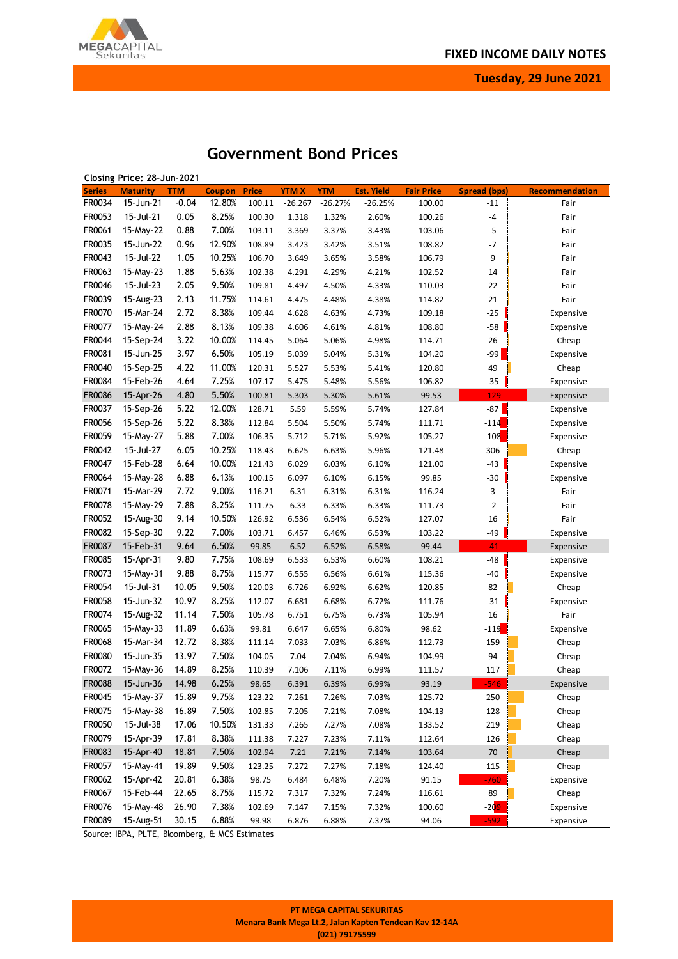

**Tuesday, 29 June 2021**

| Closing Price: 28-Jun-2021 |                        |            |               |              |              |            |                   |                   |                     |                |
|----------------------------|------------------------|------------|---------------|--------------|--------------|------------|-------------------|-------------------|---------------------|----------------|
| <b>Series</b>              | <b>Maturity</b>        | <b>TTM</b> | <b>Coupon</b> | <b>Price</b> | <b>YTM X</b> | <b>YTM</b> | <b>Est. Yield</b> | <b>Fair Price</b> | <b>Spread (bps)</b> | Recommendation |
| FR0034                     | 15-Jun-21              | $-0.04$    | 12.80%        | 100.11       | $-26.267$    | $-26.27%$  | $-26.25%$         | 100.00            | $-11$               | Fair           |
| FR0053                     | 15-Jul-21              | 0.05       | 8.25%         | 100.30       | 1.318        | 1.32%      | 2.60%             | 100.26            | $-4$                | Fair           |
| FR0061                     | 15-May-22              | 0.88       | 7.00%         | 103.11       | 3.369        | 3.37%      | 3.43%             | 103.06            | $-5$                | Fair           |
| FR0035                     | 15-Jun-22              | 0.96       | 12.90%        | 108.89       | 3.423        | 3.42%      | 3.51%             | 108.82            | $-7$                | Fair           |
| FR0043                     | 15-Jul-22              | 1.05       | 10.25%        | 106.70       | 3.649        | 3.65%      | 3.58%             | 106.79            | 9                   | Fair           |
| FR0063                     | 15-May-23              | 1.88       | 5.63%         | 102.38       | 4.291        | 4.29%      | 4.21%             | 102.52            | 14                  | Fair           |
| FR0046                     | 15-Jul-23              | 2.05       | 9.50%         | 109.81       | 4.497        | 4.50%      | 4.33%             | 110.03            | 22                  | Fair           |
| FR0039                     | 15-Aug-23              | 2.13       | 11.75%        | 114.61       | 4.475        | 4.48%      | 4.38%             | 114.82            | 21                  | Fair           |
| FR0070                     | 15-Mar-24              | 2.72       | 8.38%         | 109.44       | 4.628        | 4.63%      | 4.73%             | 109.18            | $-25$               | Expensive      |
| FR0077                     | 15-May-24              | 2.88       | 8.13%         | 109.38       | 4.606        | 4.61%      | 4.81%             | 108.80            | $-58$               | Expensive      |
| FR0044                     | 15-Sep-24              | 3.22       | 10.00%        | 114.45       | 5.064        | 5.06%      | 4.98%             | 114.71            | 26                  | Cheap          |
| FR0081                     | 15-Jun-25              | 3.97       | 6.50%         | 105.19       | 5.039        | 5.04%      | 5.31%             | 104.20            | -99                 | Expensive      |
| FR0040                     | 15-Sep-25              | 4.22       | 11.00%        | 120.31       | 5.527        | 5.53%      | 5.41%             | 120.80            | 49                  | Cheap          |
| FR0084                     | 15-Feb-26              | 4.64       | 7.25%         | 107.17       | 5.475        | 5.48%      | 5.56%             | 106.82            | $-35$               | Expensive      |
| FR0086                     | 15-Apr-26              | 4.80       | 5.50%         | 100.81       | 5.303        | 5.30%      | 5.61%             | 99.53             | $-129$              | Expensive      |
| FR0037                     | 15-Sep-26              | 5.22       | 12.00%        | 128.71       | 5.59         | 5.59%      | 5.74%             | 127.84            | $-87$               | Expensive      |
| FR0056                     | 15-Sep-26              | 5.22       | 8.38%         | 112.84       | 5.504        | 5.50%      | 5.74%             | 111.71            | $-114$              | Expensive      |
| FR0059                     | 15-May-27              | 5.88       | 7.00%         | 106.35       | 5.712        | 5.71%      | 5.92%             | 105.27            | $-108$              | Expensive      |
| FR0042                     | 15-Jul-27              | 6.05       | 10.25%        | 118.43       | 6.625        | 6.63%      | 5.96%             | 121.48            | 306                 | Cheap          |
| FR0047                     | 15-Feb-28              | 6.64       | 10.00%        | 121.43       | 6.029        | 6.03%      | 6.10%             | 121.00            | $-43$               | Expensive      |
| FR0064                     | 15-May-28              | 6.88       | 6.13%         | 100.15       | 6.097        | 6.10%      | 6.15%             | 99.85             | $-30$               | Expensive      |
| FR0071                     | 15-Mar-29              | 7.72       | 9.00%         | 116.21       | 6.31         | 6.31%      | 6.31%             | 116.24            | 3                   | Fair           |
| FR0078                     | 15-May-29              | 7.88       | 8.25%         | 111.75       | 6.33         | 6.33%      | 6.33%             | 111.73            | $-2$                | Fair           |
| FR0052                     | 15-Aug-30              | 9.14       | 10.50%        | 126.92       | 6.536        | 6.54%      | 6.52%             | 127.07            | 16                  | Fair           |
| FR0082                     |                        | 9.22       | 7.00%         |              |              |            |                   |                   |                     |                |
| FR0087                     | 15-Sep-30<br>15-Feb-31 | 9.64       | 6.50%         | 103.71       | 6.457        | 6.46%      | 6.53%             | 103.22<br>99.44   | -49<br>$-41$        | Expensive      |
|                            |                        |            |               | 99.85        | 6.52         | 6.52%      | 6.58%             |                   |                     | Expensive      |
| FR0085                     | 15-Apr-31              | 9.80       | 7.75%         | 108.69       | 6.533        | 6.53%      | 6.60%             | 108.21            | -48                 | Expensive      |
| FR0073                     | 15-May-31              | 9.88       | 8.75%         | 115.77       | 6.555        | 6.56%      | 6.61%             | 115.36            | $-40$               | Expensive      |
| FR0054                     | 15-Jul-31              | 10.05      | 9.50%         | 120.03       | 6.726        | 6.92%      | 6.62%             | 120.85            | 82                  | Cheap          |
| FR0058                     | 15-Jun-32              | 10.97      | 8.25%         | 112.07       | 6.681        | 6.68%      | 6.72%             | 111.76            | $-31$               | Expensive      |
| FR0074                     | 15-Aug-32              | 11.14      | 7.50%         | 105.78       | 6.751        | 6.75%      | 6.73%             | 105.94            | 16                  | Fair           |
| FR0065                     | 15-May-33              | 11.89      | 6.63%         | 99.81        | 6.647        | 6.65%      | 6.80%             | 98.62             | $-119$              | Expensive      |
| FR0068                     | 15-Mar-34              | 12.72      | 8.38%         | 111.14       | 7.033        | 7.03%      | 6.86%             | 112.73            | 159                 | Cheap          |
| FR0080                     | 15-Jun-35              | 13.97      | 7.50%         | 104.05       | 7.04         | 7.04%      | 6.94%             | 104.99            | 94                  | Cheap          |
| FR0072                     | 15-May-36              | 14.89      | 8.25%         | 110.39       | 7.106        | 7.11%      | 6.99%             | 111.57            | 117                 | Cheap          |
| <b>FR0088</b>              | 15-Jun-36              | 14.98      | 6.25%         | 98.65        | 6.391        | 6.39%      | 6.99%             | 93.19             | $-546$              | Expensive      |
| FR0045                     | 15-May-37              | 15.89      | 9.75%         | 123.22       | 7.261        | 7.26%      | 7.03%             | 125.72            | 250                 | Cheap          |
| FR0075                     | 15-May-38              | 16.89      | 7.50%         | 102.85       | 7.205        | 7.21%      | 7.08%             | 104.13            | 128                 | Cheap          |
| FR0050                     | 15-Jul-38              | 17.06      | 10.50%        | 131.33       | 7.265        | 7.27%      | 7.08%             | 133.52            | 219                 | Cheap          |
| FR0079                     | 15-Apr-39              | 17.81      | 8.38%         | 111.38       | 7.227        | 7.23%      | 7.11%             | 112.64            | 126                 | Cheap          |
| FR0083                     | 15-Apr-40              | 18.81      | 7.50%         | 102.94       | 7.21         | 7.21%      | 7.14%             | 103.64            | 70                  | Cheap          |
| FR0057                     | 15-May-41              | 19.89      | 9.50%         | 123.25       | 7.272        | 7.27%      | 7.18%             | 124.40            | 115                 | Cheap          |
| FR0062                     | 15-Apr-42              | 20.81      | 6.38%         | 98.75        | 6.484        | 6.48%      | 7.20%             | 91.15             | $-760$              | Expensive      |
| FR0067                     | 15-Feb-44              | 22.65      | 8.75%         | 115.72       | 7.317        | 7.32%      | 7.24%             | 116.61            | 89                  | Cheap          |
| FR0076                     | 15-May-48              | 26.90      | 7.38%         | 102.69       | 7.147        | 7.15%      | 7.32%             | 100.60            | $-209$              | Expensive      |
| FR0089                     | 15-Aug-51              | 30.15      | 6.88%         | 99.98        | 6.876        | 6.88%      | 7.37%             | 94.06             | $-592$              | Expensive      |

# **Government Bond Prices**

Source: IBPA, PLTE, Bloomberg, & MCS Estimates